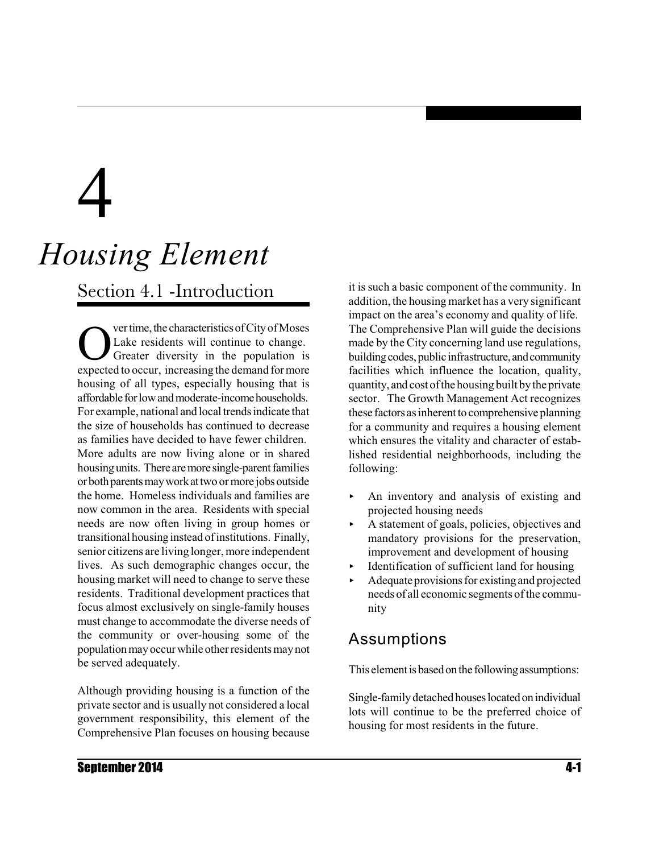# 4

# *Housing Element*

Section 4.1 -Introduction

Outer time, the characteristics of City of Moses<br>Lake residents will continue to change.<br>Sexpected to occur, increasing the demand for more ver time, the characteristics of City of Moses Lake residents will continue to change. Greater diversity in the population is housing of all types, especially housing that is affordable for low and moderate-income households. For example, national and local trendsindicate that the size of households has continued to decrease as families have decided to have fewer children. More adults are now living alone or in shared housing units. There are more single-parent families orbothparentsmayworkattwo ormore jobsoutside the home. Homeless individuals and families are now common in the area. Residents with special needs are now often living in group homes or transitional housinginstead ofinstitutions. Finally, senior citizens are living longer, more independent lives. As such demographic changes occur, the housing market will need to change to serve these residents. Traditional development practices that focus almost exclusively on single-family houses must change to accommodate the diverse needs of the community or over-housing some of the population mayoccur while other residents maynot be served adequately.

Although providing housing is a function of the private sector and is usually not considered a local government responsibility, this element of the Comprehensive Plan focuses on housing because

it is such a basic component of the community. In addition, the housing market has a very significant impact on the area's economy and quality of life. The Comprehensive Plan will guide the decisions made by the City concerning land use regulations, building codes, public infrastructure, and community facilities which influence the location, quality, quantity, and cost ofthe housing built bythe private sector. The Growth Management Act recognizes these factors as inherent to comprehensive planning for a community and requires a housing element which ensures the vitality and character of established residential neighborhoods, including the following:

- $\triangleright$  An inventory and analysis of existing and projected housing needs
- $\blacktriangleright$  A statement of goals, policies, objectives and mandatory provisions for the preservation, improvement and development of housing
- < Identification of sufficient land for housing
- Adequate provisions for existing and projected needs of all economic segments of the community

## Assumptions

This element is based on the following assumptions:

Single-family detached houses located on individual lots will continue to be the preferred choice of housing for most residents in the future.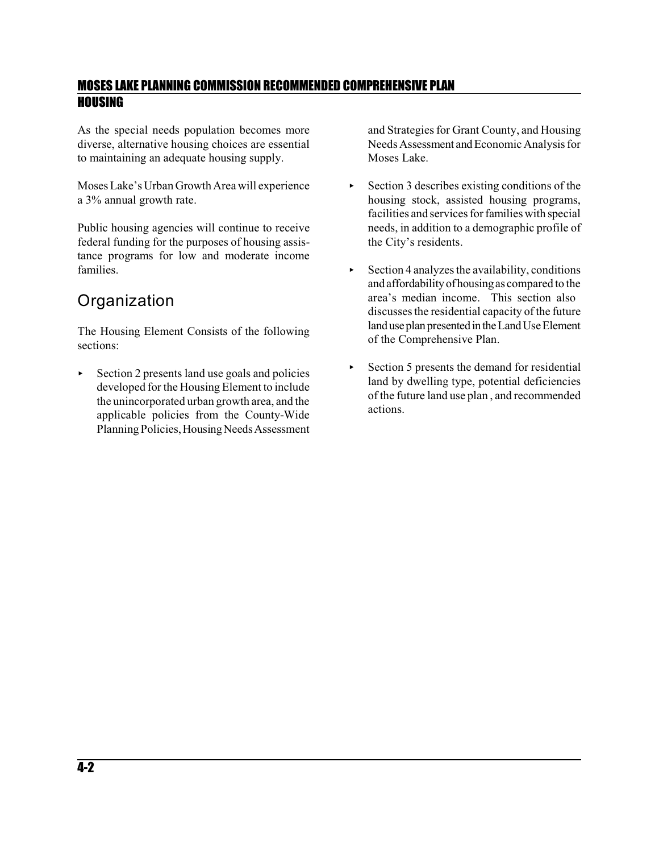As the special needs population becomes more diverse, alternative housing choices are essential to maintaining an adequate housing supply.

Moses Lake's Urban Growth Area will experience a 3% annual growth rate.

Public housing agencies will continue to receive federal funding for the purposes of housing assistance programs for low and moderate income families.

## **Organization**

The Housing Element Consists of the following sections:

< Section 2 presents land use goals and policies developed for the Housing Element to include the unincorporated urban growth area, and the applicable policies from the County-Wide Planning Policies, Housing Needs Assessment

and Strategies for Grant County, and Housing Needs Assessment and Economic Analysis for Moses Lake.

- $\triangleright$  Section 3 describes existing conditions of the housing stock, assisted housing programs, facilities and services for families with special needs, in addition to a demographic profile of the City's residents.
- $\triangleright$  Section 4 analyzes the availability, conditions and affordabilityofhousingas compared to the area's median income. This section also discussesthe residential capacity of the future landuse plan presented in the Land Use Element of the Comprehensive Plan.
- $\triangleright$  Section 5 presents the demand for residential land by dwelling type, potential deficiencies of the future land use plan , and recommended actions.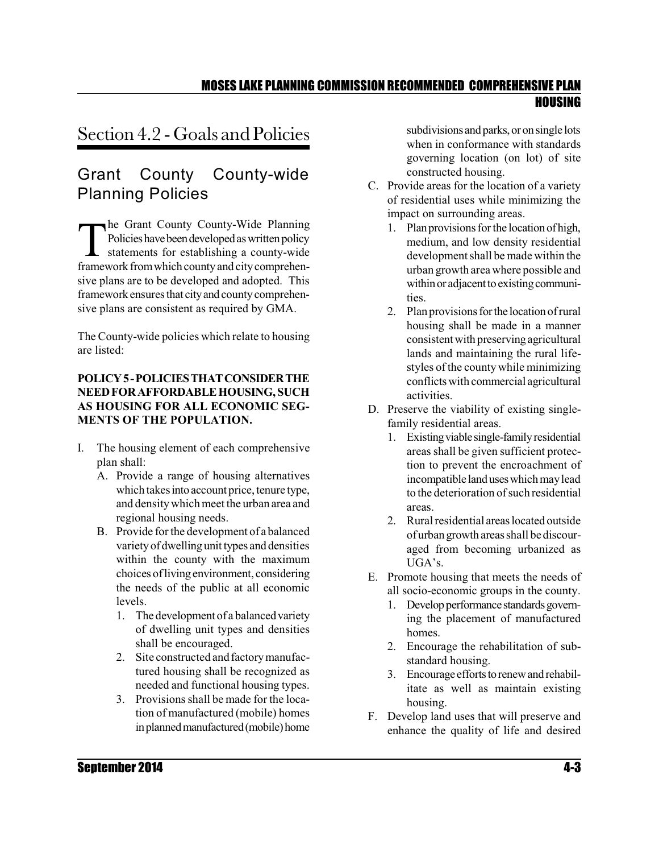## Section 4.2 - Goals and Policies

## Grant County County-wide Planning Policies

 $\prod_{\text{frame}}$ he Grant County County-Wide Planning Policies have been developed as written policy statements for establishing a county-wide framework from which county and city comprehensive plans are to be developed and adopted. This framework ensures that city and county comprehensive plans are consistent as required by GMA.

The County-wide policies which relate to housing are listed:

#### **POLICY5-POLICIESTHATCONSIDERTHE NEEDFORAFFORDABLEHOUSING,SUCH AS HOUSING FOR ALL ECONOMIC SEG-MENTS OF THE POPULATION.**

- I. The housing element of each comprehensive plan shall:
	- A. Provide a range of housing alternatives which takes into account price, tenure type, and density which meet the urban area and regional housing needs.
	- B. Provide forthe development of a balanced variety of dwelling unit types and densities within the county with the maximum choices oflivingenvironment, considering the needs of the public at all economic levels.
		- 1. The development of a balanced variety of dwelling unit types and densities shall be encouraged.
		- 2. Site constructed and factory manufactured housing shall be recognized as needed and functional housing types.
		- 3. Provisions shall be made for the location of manufactured (mobile) homes in planned manufactured (mobile) home

subdivisions and parks, or on single lots when in conformance with standards governing location (on lot) of site constructed housing.

- C. Provide areas for the location of a variety of residential uses while minimizing the impact on surrounding areas.
	- 1. Plan provisions for the location of high, medium, and low density residential development shall be made within the urban growth area where possible and within or adjacent to existing communities.
	- 2. Plan provisions for the location of rural housing shall be made in a manner consistentwith preservingagricultural lands and maintaining the rural lifestyles of the county while minimizing conflicts with commercial agricultural activities.
- D. Preserve the viability of existing singlefamily residential areas.
	- 1. Existingviable single-familyresidential areas shall be given sufficient protection to prevent the encroachment of incompatible land uses which may lead to the deterioration of such residential areas.
	- 2. Rural residential areas located outside of urban growth areas shall be discouraged from becoming urbanized as UGA's.
- E. Promote housing that meets the needs of all socio-economic groups in the county.
	- 1. Develop performance standards governing the placement of manufactured homes.
	- 2. Encourage the rehabilitation of substandard housing.
	- 3. Encourage efforts to renew and rehabilitate as well as maintain existing housing.
- F. Develop land uses that will preserve and enhance the quality of life and desired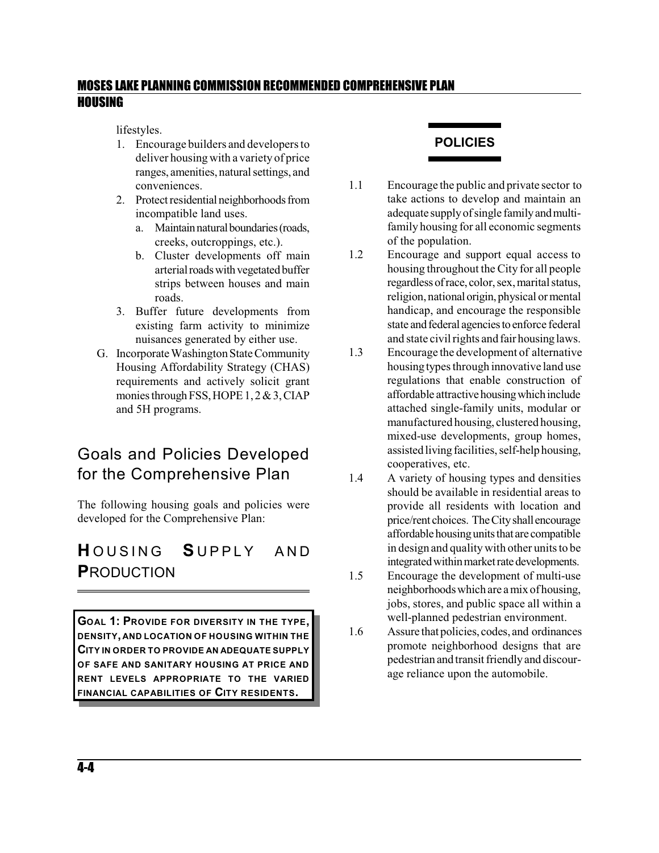lifestyles.

- 1. Encourage builders and developers to deliver housing with a variety of price ranges, amenities, natural settings, and conveniences.
- 2. Protect residential neighborhoods from incompatible land uses.
	- a. Maintain natural boundaries (roads, creeks, outcroppings, etc.).
	- b. Cluster developments off main arterial roads with vegetated buffer strips between houses and main roads.
- 3. Buffer future developments from existing farm activity to minimize nuisances generated by either use.
- G. Incorporate Washington State Community Housing Affordability Strategy (CHAS) requirements and actively solicit grant monies through FSS, HOPE 1, 2 & 3, CIAP and 5H programs.

## Goals and Policies Developed for the Comprehensive Plan

The following housing goals and policies were developed for the Comprehensive Plan:

## **H**OUSING SUPPLY AND **P**RODUCTION

**GOAL 1: PROVIDE FOR DIVERSITY IN THE TYPE, DENSITY, AND LOCATION OF HOUSING WITHIN THE CITY IN ORDER TO PROVIDE AN ADEQUATE SUPPLY OF SAFE AND SANITARY HOUSING AT PRICE AND RENT LEVELS APPROPRIATE TO THE VARIED FINANCIAL CAPABILITIES OF CITY RESIDENTS.**

#### **POLICIES**

- 1.1 Encourage the public and private sector to take actions to develop and maintain an adequate supplyofsingle familyandmultifamily housing for all economic segments of the population.
- 1.2 Encourage and support equal access to housing throughout the City for all people regardless of race, color, sex, marital status, religion, national origin, physical or mental handicap, and encourage the responsible state and federal agencies to enforce federal and state civil rights and fair housinglaws.
- 1.3 Encourage the development of alternative housingtypesthrough innovative land use regulations that enable construction of affordable attractive housing which include attached single-family units, modular or manufactured housing, clustered housing, mixed-use developments, group homes, assisted living facilities, self-help housing, cooperatives, etc.
- 1.4 A variety of housing types and densities should be available in residential areas to provide all residents with location and price/rent choices. TheCityshall encourage affordable housing units that are compatible in design and quality with other units to be integrated within market rate developments.
- 1.5 Encourage the development of multi-use neighborhoodswhich are a mix of housing, jobs, stores, and public space all within a well-planned pedestrian environment.
- 1.6 Assure that policies, codes, and ordinances promote neighborhood designs that are pedestrian and transit friendlyand discourage reliance upon the automobile.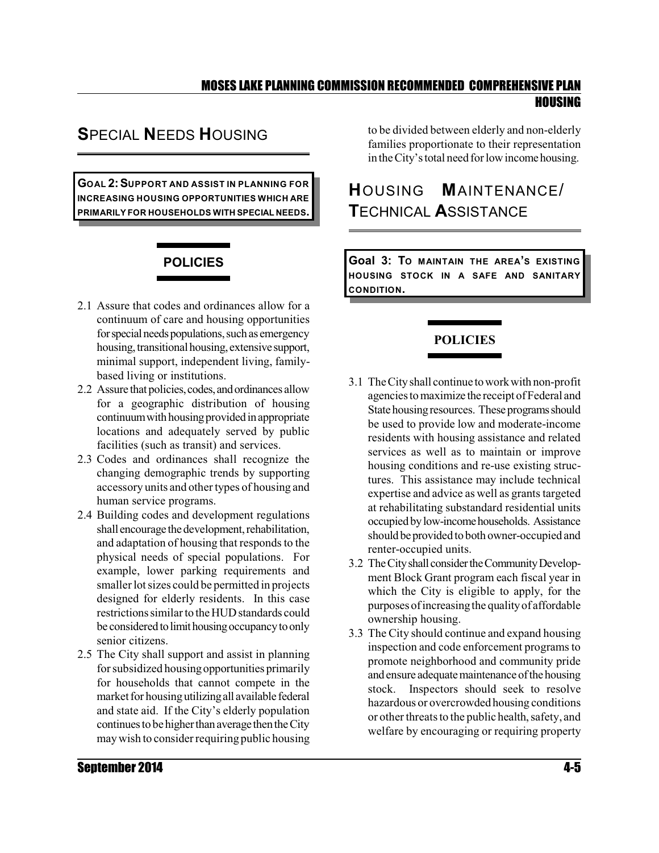## **S**PECIAL **N**EEDS **H**OUSING

**GOAL 2:SUPPORT AND ASSIST IN PLANNING FOR INCREASING HOUSING OPPORTUNITIES WHICH ARE PRIMARILY FOR HOUSEHOLDS WITH SPECIAL NEEDS.**

## **POLICIES**

- 2.1 Assure that codes and ordinances allow for a continuum of care and housing opportunities for special needs populations, such as emergency housing, transitional housing, extensive support, minimal support, independent living, familybased living or institutions.
- 2.2 Assure that policies, codes, and ordinances allow for a geographic distribution of housing continuum with housing provided in appropriate locations and adequately served by public facilities (such as transit) and services.
- 2.3 Codes and ordinances shall recognize the changing demographic trends by supporting accessory units and other types of housing and human service programs.
- 2.4 Building codes and development regulations shall encourage the development, rehabilitation, and adaptation of housing that responds to the physical needs of special populations. For example, lower parking requirements and smaller lot sizes could be permitted in projects designed for elderly residents. In this case restrictionssimilarto the HUDstandards could be considered to limit housing occupancy to only senior citizens.
- 2.5 The City shall support and assist in planning for subsidized housing opportunities primarily for households that cannot compete in the market for housing utilizing all available federal and state aid. If the City's elderly population continues to be higher than average then the City may wish to consider requiring public housing

to be divided between elderly and non-elderly families proportionate to their representation in the City's total need for low income housing.

## **H**OUSING **M**AINTENANCE/ **T**ECHNICAL **A**SSISTANCE

**Goal 3: TO MAINTAIN THE AREA'S EXISTING HOUSING STOCK IN A SAFE AND SANITARY CONDITION.**

#### **POLICIES**

- 3.1 TheCityshall continue toworkwith non-profit agenciestomaximize the receipt ofFederal and State housing resources. These programs should be used to provide low and moderate-income residents with housing assistance and related services as well as to maintain or improve housing conditions and re-use existing structures. This assistance may include technical expertise and advice as well as grants targeted at rehabilitating substandard residential units occupiedbylow-incomehouseholds. Assistance should be provided to both owner-occupied and renter-occupied units.
- 3.2 The City shall consider the Community Development Block Grant program each fiscal year in which the City is eligible to apply, for the purposes ofincreasingthe qualityof affordable ownership housing.
- 3.3 The City should continue and expand housing inspection and code enforcement programs to promote neighborhood and community pride and ensure adequate maintenance of the housing stock. Inspectors should seek to resolve hazardous or overcrowded housing conditions or other threats to the public health, safety, and welfare by encouraging or requiring property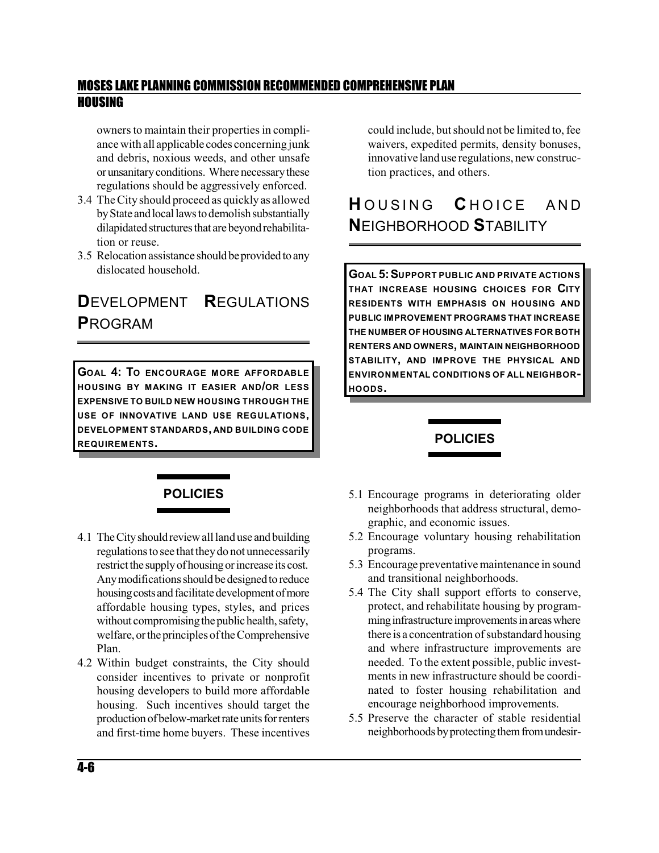owners to maintain their properties in compliance with all applicable codes concerning junk and debris, noxious weeds, and other unsafe orunsanitaryconditions. Wherenecessarythese regulations should be aggressively enforced.

- 3.4 The City should proceed as quickly as allowed by State and local laws to demolish substantially dilapidated structures that are beyond rehabilitation or reuse.
- 3.5 Relocation assistance should be provided to any dislocated household.

## **D**EVELOPMENT **R**EGULATIONS **P**ROGRAM

**GOAL 4: TO ENCOURAGE MORE AFFORDABLE HOUSING BY MAKING IT EASIER AND/OR LESS EXPENSIVE TO BUILD NEW HOUSING THROUGH THE USE OF INNOVATIVE LAND USE REGULATIONS, DEVELOPMENT STANDARDS, AND BUILDING CODE REQUIREMENTS.**

could include, but should not be limited to, fee waivers, expedited permits, density bonuses, innovative landuse regulations, new construction practices, and others.

## **HOUSING CHOICE AND N**EIGHBORHOOD **S**TABILITY

**GOAL 5:SUPPORT PUBLIC AND PRIVATE ACTIONS THAT INCREASE HOUSING CHOICES FOR CITY RESIDENTS WITH EMPHASIS ON HOUSING AND PUBLIC IMPROVEMENT PROGRAMS THAT INCREASE THE NUMBER OF HOUSING ALTERNATIVES FOR BOTH RENTERS AND OWNERS, MAINTAIN NEIGHBORHOOD STABILITY, AND IMPROVE THE PHYSICAL AND ENVIRONMENTAL CONDITIONS OF ALL NEIGHBOR-HOODS.**

#### **POLICIES**

#### **POLICIES**

- 4.1 TheCityshouldreviewall land use andbuilding regulations to see that they do not unnecessarily restrict the supply of housing or increase its cost. Any modifications should be designed to reduce housing costs and facilitate development of more affordable housing types, styles, and prices without compromising the public health, safety, welfare, or the principles of the Comprehensive Plan.
- 4.2 Within budget constraints, the City should consider incentives to private or nonprofit housing developers to build more affordable housing. Such incentives should target the production of below-market rate units for renters and first-time home buyers. These incentives
- 5.1 Encourage programs in deteriorating older neighborhoods that address structural, demographic, and economic issues.
- 5.2 Encourage voluntary housing rehabilitation programs.
- 5.3 Encourage preventative maintenance in sound and transitional neighborhoods.
- 5.4 The City shall support efforts to conserve, protect, and rehabilitate housing by programming infrastructure improvements in areas where there is a concentration of substandard housing and where infrastructure improvements are needed. To the extent possible, public investments in new infrastructure should be coordinated to foster housing rehabilitation and encourage neighborhood improvements.
- 5.5 Preserve the character of stable residential neighborhoods by protecting them from undesir-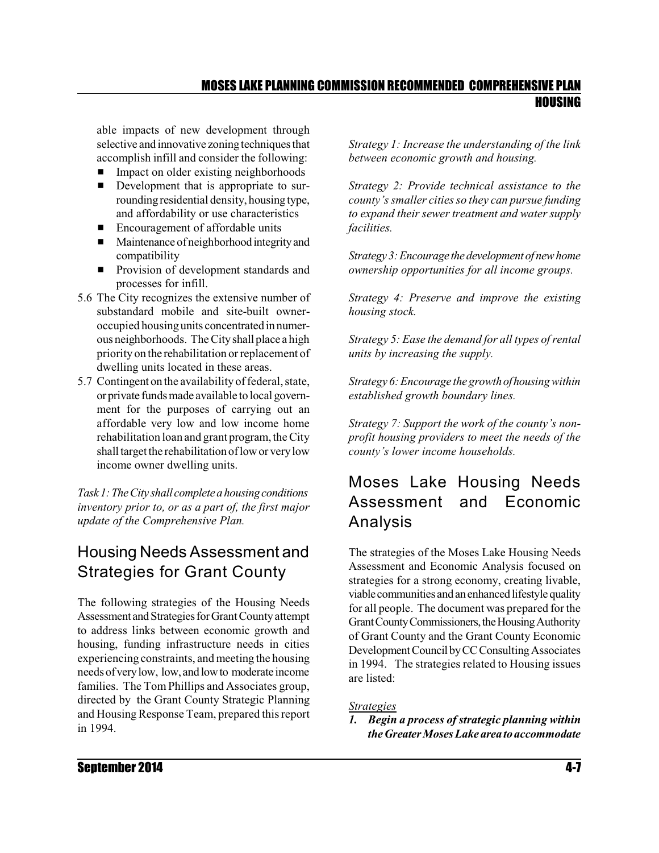able impacts of new development through selective and innovative zoning techniques that accomplish infill and consider the following:

- Impact on older existing neighborhoods
- **Development that is appropriate to sur**roundingresidential density, housingtype, and affordability or use characteristics
- $\blacksquare$  Encouragement of affordable units
- $\blacksquare$  Maintenance of neighborhood integrity and compatibility
- **•** Provision of development standards and processes for infill.
- 5.6 The City recognizes the extensive number of substandard mobile and site-built owneroccupied housingunits concentrated in numerous neighborhoods. The Cityshall place a high priority on the rehabilitation or replacement of dwelling units located in these areas.
- 5.7 Contingent on the availability of federal, state, or private funds made available to local government for the purposes of carrying out an affordable very low and low income home rehabilitation loan and grant program, theCity shall target the rehabilitation of low or very low income owner dwelling units.

*Task1:TheCity shall completeahousingconditions inventory prior to, or as a part of, the first major update of the Comprehensive Plan.* 

## Housing Needs Assessment and Strategies for Grant County

The following strategies of the Housing Needs Assessment and Strategies for Grant County attempt to address links between economic growth and housing, funding infrastructure needs in cities experiencing constraints, and meeting the housing needs ofverylow, low, andlowto moderate income families. The Tom Phillips and Associates group, directed by the Grant County Strategic Planning and Housing Response Team, prepared this report in 1994.

*Strategy 1: Increase the understanding of the link between economic growth and housing.*

*Strategy 2: Provide technical assistance to the county'ssmaller cities so they can pursue funding to expand their sewer treatment and water supply facilities.*

*Strategy3:Encourage thedevelopment of newhome ownership opportunities for all income groups.*

*Strategy 4: Preserve and improve the existing housing stock.*

*Strategy 5: Ease the demand for all types of rental units by increasing the supply.*

*Strategy 6:Encourage the growthofhousing within established growth boundary lines.*

*Strategy 7: Support the work of the county's nonprofit housing providers to meet the needs of the county's lower income households.*

## Moses Lake Housing Needs Assessment and Economic Analysis

The strategies of the Moses Lake Housing Needs Assessment and Economic Analysis focused on strategies for a strong economy, creating livable, viable communities and an enhanced lifestyle quality for all people. The document was prepared for the Grant County Commissioners, the Housing Authority of Grant County and the Grant County Economic Development Council by CC Consulting Associates in 1994. The strategies related to Housing issues are listed:

#### *Strategies*

*1. Begin a process of strategic planning within the GreaterMoses Lake areato accommodate*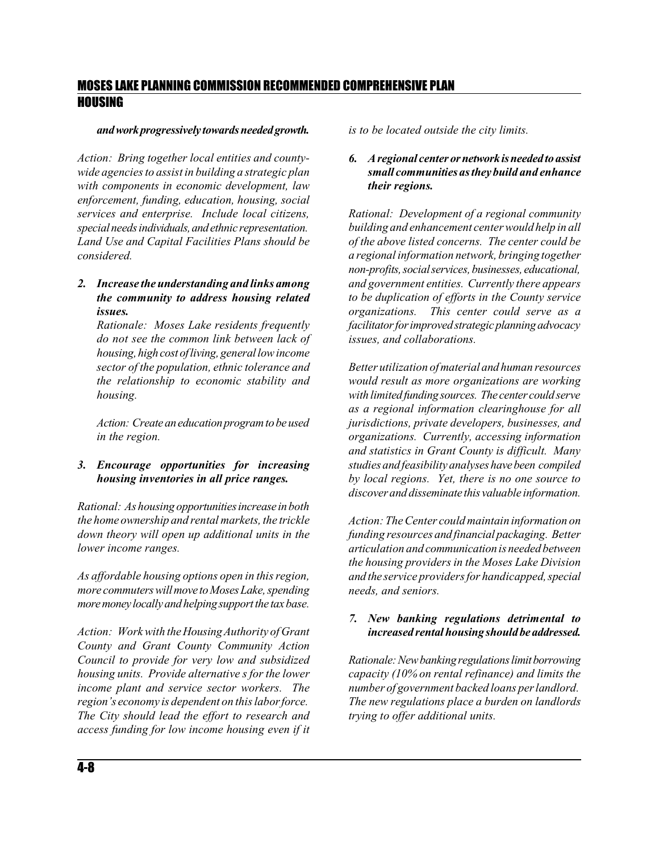#### *andworkprogressively towardsneededgrowth.*

*Action: Bring together local entities and countywide agencies to assist in building a strategic plan with components in economic development, law enforcement, funding, education, housing, social services and enterprise. Include local citizens, special needsindividuals,andethnic representation. Land Use and Capital Facilities Plans should be considered.*

#### *2. Increase the understanding and links among the community to address housing related issues.*

*Rationale: Moses Lake residents frequently do not see the common link between lack of housing, high cost of living, general low income sector of the population, ethnic tolerance and the relationship to economic stability and housing.* 

*Action: Createaneducationprogramtobeused in the region.*

#### *3. Encourage opportunities for increasing housing inventories in all price ranges.*

*Rational: As housing opportunitiesincrease inboth the home ownership and rental markets, the trickle down theory will open up additional units in the lower income ranges.*

*As affordable housing options open in this region, more commuterswillmove toMosesLake,spending moremoney locallyandhelpingsupportthe taxbase.*

*Action: Workwith the HousingAuthority of Grant County and Grant County Community Action Council to provide for very low and subsidized housing units. Provide alternative s for the lower income plant and service sector workers. The region's economy is dependent on this laborforce. The City should lead the effort to research and access funding for low income housing even if it* *is to be located outside the city limits.*

#### *6. Aregional center ornetworkisneededtoassist small communities asthey build and enhance their regions.*

*Rational: Development of a regional community building and enhancement center would help in all of the above listed concerns. The center could be a regional information network, bringing together non-profits,socialservices,businesses, educational, and government entities. Currently there appears to be duplication of efforts in the County service organizations. This center could serve as a facilitatorforimprovedstrategicplanningadvocacy issues, and collaborations.*

*Better utilization of material and human resources would result as more organizations are working with limitedfundingsources. The center couldserve as a regional information clearinghouse for all jurisdictions, private developers, businesses, and organizations. Currently, accessing information and statistics in Grant County is difficult. Many studies and feasibility analyseshavebeen compiled by local regions. Yet, there is no one source to discoverand disseminate this valuable information.*

*Action: The Center could maintain information on funding resources and financial packaging. Better articulation and communication is needed between the housing providers in the Moses Lake Division and the service providers for handicapped,special needs, and seniors.*

#### *7. New banking regulations detrimental to increased rental housing should beaddressed.*

*Rationale:Newbankingregulationslimitborrowing capacity (10% on rental refinance) and limits the number of government backed loans per landlord. The new regulations place a burden on landlords trying to offer additional units.*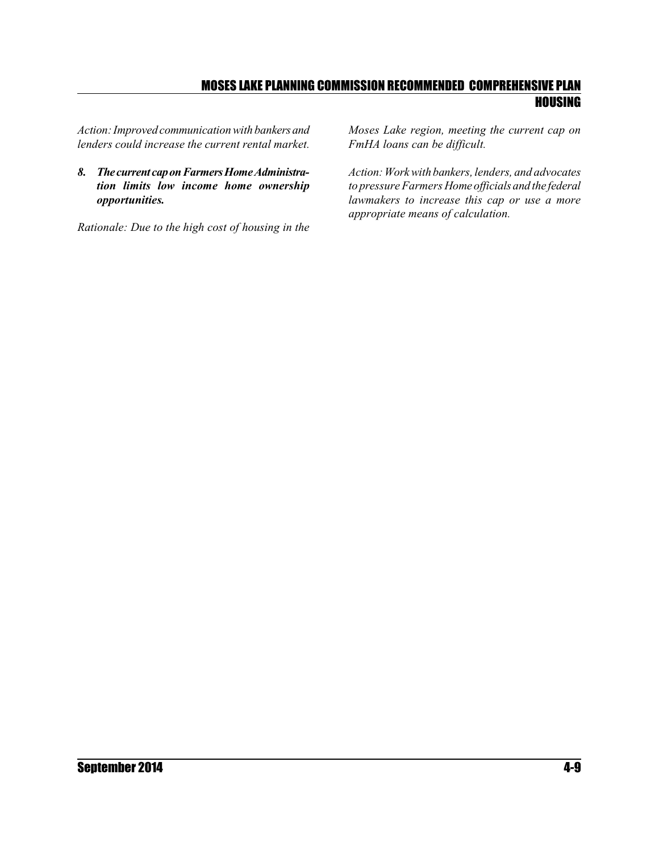*Action:Improved communication with bankersand lenders could increase the current rental market.*

8. The current cap on Farmers Home Administra*tion limits low income home ownership opportunities.*

*Rationale: Due to the high cost of housing in the*

*Moses Lake region, meeting the current cap on FmHA loans can be difficult.* 

*Action:Work with bankers, lenders, and advocates to pressure Farmers Home officials and the federal lawmakers to increase this cap or use a more appropriate means of calculation.*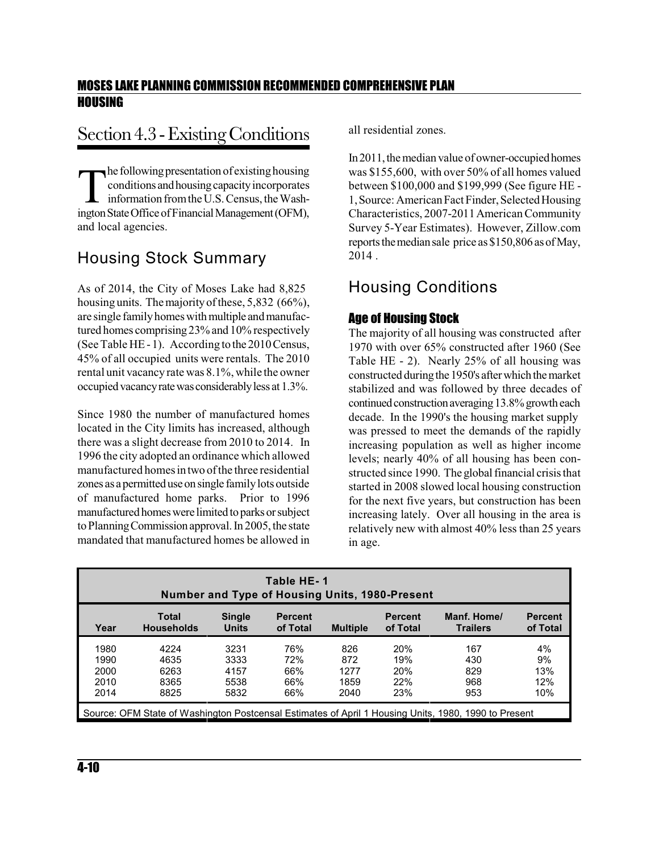## Section 4.3 - Existing Conditions

The following presentation of existing housing<br>conditions and housing capacity incorporates<br>information from the U.S. Census, the Wash-<br>ington State Office of Financial Management (OFM), he following presentation of existing housing conditions and housing capacity incorporates information fromthe U.S.Census,the Washand local agencies.

## Housing Stock Summary

As of 2014, the City of Moses Lake had 8,825 housing units. The majority of these, 5,832 (66%), are single familyhomeswith multiple andmanufactured homes comprising23% and 10% respectively (See Table HE -1). According to the 2010Census, 45% of all occupied units were rentals. The 2010 rental unit vacancy rate was 8.1%, while the owner occupiedvacancyratewas considerablyless at 1.3%.

Since 1980 the number of manufactured homes located in the City limits has increased, although there was a slight decrease from 2010 to 2014. In 1996 the city adopted an ordinance which allowed manufactured homes in two of the three residential zones as a permitted use on single family lots outside of manufactured home parks. Prior to 1996 manufactured homes were limited to parks or subject to Planning Commission approval. In 2005, the state mandated that manufactured homes be allowed in all residential zones.

In 2011, the median value of owner-occupied homes was \$155,600, with over 50% of all homes valued between \$100,000 and \$199,999 (See figure HE - 1, Source: American Fact Finder, Selected Housing Characteristics, 2007-2011American Community Survey 5-Year Estimates). However, Zillow.com reports the median sale price as \$150,806 as of May, 2014 .

## Housing Conditions

#### Age of Housing Stock

The majority of all housing was constructed after 1970 with over 65% constructed after 1960 (See Table HE - 2). Nearly 25% of all housing was constructed during the 1950's after which the market stabilized and was followed by three decades of continued construction averaging 13.8% growth each decade. In the 1990's the housing market supply was pressed to meet the demands of the rapidly increasing population as well as higher income levels; nearly 40% of all housing has been constructed since 1990. Theglobal financial crisis that started in 2008 slowed local housing construction for the next five years, but construction has been increasing lately. Over all housing in the area is relatively new with almost 40% less than 25 years in age.

| Table HE-1<br>Number and Type of Housing Units, 1980-Present                                                                                                                                                       |                                                                                                      |      |     |      |     |     |     |  |  |
|--------------------------------------------------------------------------------------------------------------------------------------------------------------------------------------------------------------------|------------------------------------------------------------------------------------------------------|------|-----|------|-----|-----|-----|--|--|
| <b>Single</b><br>Manf. Home/<br>Total<br><b>Percent</b><br><b>Percent</b><br><b>Percent</b><br><b>Households</b><br><b>Units</b><br>of Total<br><b>Multiple</b><br>of Total<br>of Total<br>Year<br><b>Trailers</b> |                                                                                                      |      |     |      |     |     |     |  |  |
| 1980                                                                                                                                                                                                               | 4224                                                                                                 | 3231 | 76% | 826  | 20% | 167 | 4%  |  |  |
| 1990                                                                                                                                                                                                               | 4635                                                                                                 | 3333 | 72% | 872  | 19% | 430 | 9%  |  |  |
| 2000                                                                                                                                                                                                               | 6263                                                                                                 | 4157 | 66% | 1277 | 20% | 829 | 13% |  |  |
| 2010                                                                                                                                                                                                               | 8365                                                                                                 | 5538 | 66% | 1859 | 22% | 968 | 12% |  |  |
| 2014                                                                                                                                                                                                               | 66%<br><b>23%</b><br>10%<br>2040<br>953<br>8825<br>5832                                              |      |     |      |     |     |     |  |  |
|                                                                                                                                                                                                                    | Source: OFM State of Washington Postcensal Estimates of April 1 Housing Units, 1980, 1990 to Present |      |     |      |     |     |     |  |  |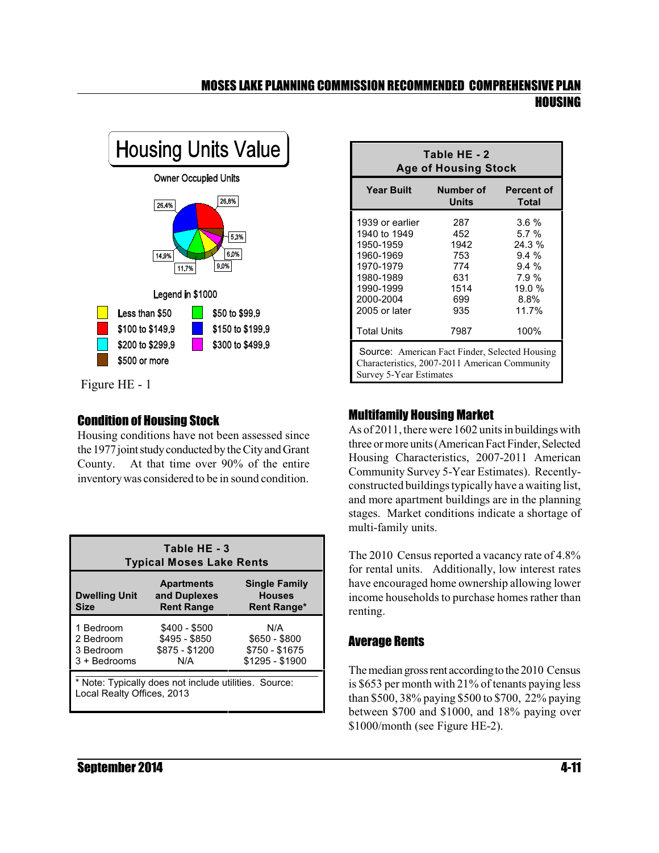

Figure HE - 1

#### Condition of Housing Stock

Housing conditions have not been assessed since the 1977 joint study conducted by the City and Grant County. At that time over 90% of the entire inventorywas considered to be in sound condition.

| Table HE - 3<br><b>Typical Moses Lake Rents</b>                                     |                                                         |                                                             |  |  |  |  |
|-------------------------------------------------------------------------------------|---------------------------------------------------------|-------------------------------------------------------------|--|--|--|--|
| <b>Dwelling Unit</b><br>Size                                                        | <b>Apartments</b><br>and Duplexes<br><b>Rent Range</b>  | <b>Single Family</b><br><b>Houses</b><br><b>Rent Range*</b> |  |  |  |  |
| 1 Bedroom<br>2 Bedroom<br>3 Bedroom<br>$3 +$ Bedrooms                               | \$400 - \$500<br>\$495 - \$850<br>\$875 - \$1200<br>N/A | N/A<br>\$650 - \$800<br>\$750 - \$1675<br>\$1295 - \$1900   |  |  |  |  |
| * Note: Typically does not include utilities. Source:<br>Local Realty Offices, 2013 |                                                         |                                                             |  |  |  |  |

| Table HE - 2<br><b>Age of Housing Stock</b>                                                                                                                             |                                                                   |                                                                                      |  |  |  |  |
|-------------------------------------------------------------------------------------------------------------------------------------------------------------------------|-------------------------------------------------------------------|--------------------------------------------------------------------------------------|--|--|--|--|
| Year Built Number of Percent of<br>Units<br><b>Total</b>                                                                                                                |                                                                   |                                                                                      |  |  |  |  |
| 1939 or earlier<br>1940 to 1949<br>1950-1959<br>1960-1969<br>1970-1979<br>1980-1989<br>1990-1999<br>2000-2004<br>2005 or later                                          | 287<br>- 452<br>1942<br>753<br>774<br>631<br>1514<br>699<br>- 935 | $3.6 \%$<br>5.7%<br>$24.3\%$<br>$9.4\%$<br>$9.4\%$<br>7.9%<br>19.0%<br>8.8%<br>11.7% |  |  |  |  |
| <b>Total Units</b><br>100%<br>7987<br><b>Source:</b> American Fact Finder, Selected Housing<br>Characteristics, 2007-2011 American Community<br>Survey 5-Year Estimates |                                                                   |                                                                                      |  |  |  |  |

#### Multifamily Housing Market

As of 2011, there were 1602 unitsin buildings with three or more units (American Fact Finder, Selected Housing Characteristics, 2007-2011 American Community Survey 5-Year Estimates). Recentlyconstructed buildings typically have a waiting list, and more apartment buildings are in the planning stages. Market conditions indicate a shortage of multi-family units.

The 2010 Census reported a vacancy rate of 4.8% for rental units. Additionally, low interest rates have encouraged home ownership allowing lower income households to purchase homes rather than renting.

#### Average Rents

The median gross rent according to the 2010 Census is \$653 per month with 21% of tenants paying less than \$500, 38% paying \$500 to \$700, 22% paying between \$700 and \$1000, and 18% paying over \$1000/month (see Figure HE-2).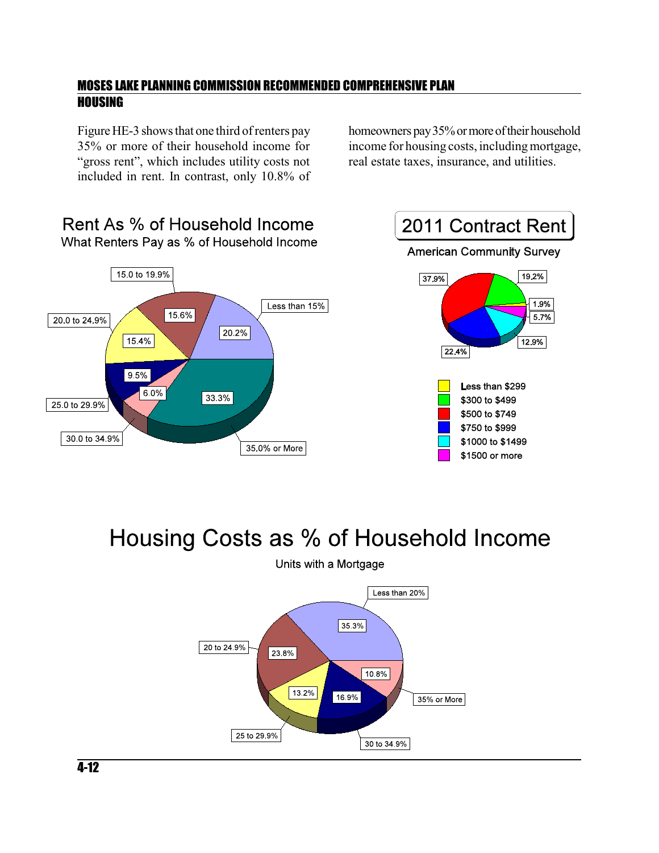Figure HE-3 shows that one third of renters pay 35% or more of their household income for "gross rent", which includes utility costs not included in rent. In contrast, only 10.8% of homeowners pay 35% or more of their household income for housing costs, including mortgage, real estate taxes, insurance, and utilities.



# Housing Costs as % of Household Income



Units with a Mortgage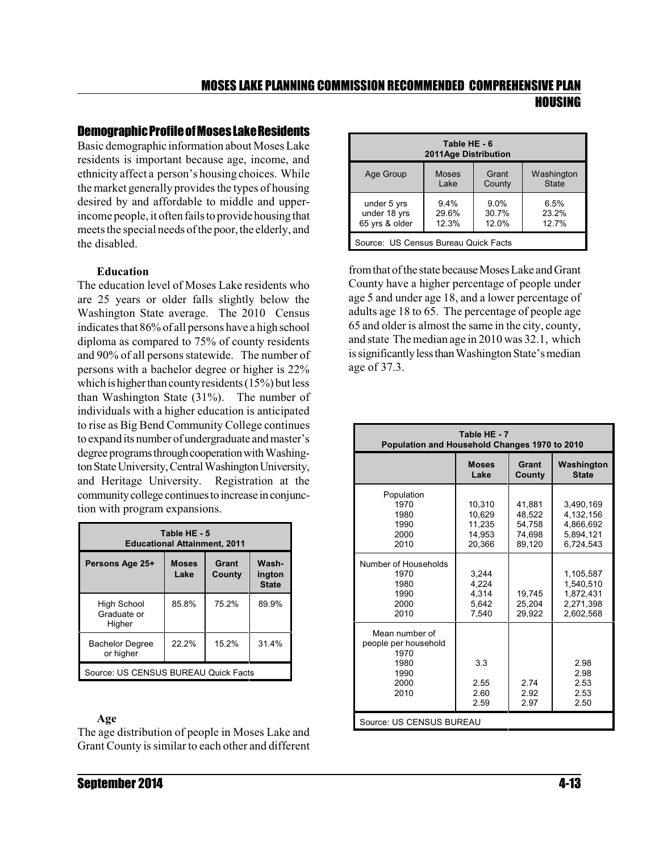#### **Demographic Profile of Moses Lake Residents**

Basic demographic information about MosesLake residents is important because age, income, and ethnicity affect a person's housing choices. While the market generally provides the types of housing desired by and affordable to middle and upperincome people, it often fails to provide housing that meets the special needs of the poor, the elderly, and the disabled.

#### **Education**

The education level of Moses Lake residents who are 25 years or older falls slightly below the Washington State average. The 2010 Census indicates that 86% of all persons have a high school diploma as compared to 75% of county residents and 90% of all persons statewide. The number of persons with a bachelor degree or higher is 22% which is higher than county residents  $(15%)$  but less than Washington State (31%). The number of individuals with a higher education is anticipated to rise as Big Bend Community College continues to expand its number of undergraduate and master's degree programs through cooperation with Washington State University, Central Washington University, and Heritage University. Registration at the community college continues to increase in conjunction with program expansions.

| Table HE - 5<br><b>Educational Attainment, 2011</b>                                           |       |       |       |  |  |  |  |
|-----------------------------------------------------------------------------------------------|-------|-------|-------|--|--|--|--|
| Grant<br>Wash-<br>Persons Age 25+<br><b>Moses</b><br>Lake<br>County<br>ington<br><b>State</b> |       |       |       |  |  |  |  |
| High School<br>Graduate or<br>Higher                                                          | 85.8% | 75.2% | 89.9% |  |  |  |  |
| <b>Bachelor Degree</b><br>or higher                                                           | 22.2% | 15.2% | 31.4% |  |  |  |  |
| Source: US CENSUS BUREAU Quick Facts                                                          |       |       |       |  |  |  |  |

#### **Age**

The age distribution of people in Moses Lake and Grant County is similar to each other and different

| Table HE - 6<br>2011Age Distribution |              |        |              |  |  |  |  |
|--------------------------------------|--------------|--------|--------------|--|--|--|--|
| Age Group                            | <b>Moses</b> | Grant  | Washington   |  |  |  |  |
|                                      | Lake         | County | <b>State</b> |  |  |  |  |
| under 5 yrs                          | $9.4\%$      | 9.0%   | 6.5%         |  |  |  |  |
| under 18 yrs                         | 29.6%        | 30.7%  | 23.2%        |  |  |  |  |
| 65 yrs & older                       | 12.3%        | 12.0%  | 12.7%        |  |  |  |  |
| Source: US Census Bureau Quick Facts |              |        |              |  |  |  |  |

from that of the state because Moses Lake and Grant County have a higher percentage of people under age 5 and under age 18, and a lower percentage of adults age 18 to 65. The percentage of people age 65 and older is almost the same in the city, county, and state The median age in 2010 was 32.1, which is significantly less than Washington State's median age of 37.3.

| Table HE - 7                                                                   |                                                |                                                |                                                               |  |  |  |
|--------------------------------------------------------------------------------|------------------------------------------------|------------------------------------------------|---------------------------------------------------------------|--|--|--|
| Population and Household Changes 1970 to 2010                                  |                                                |                                                |                                                               |  |  |  |
|                                                                                | <b>Moses</b><br>Lake                           | Grant<br>County                                | Washington<br><b>State</b>                                    |  |  |  |
| Population<br>1970<br>1980<br>1990<br>2000<br>2010                             | 10,310<br>10.629<br>11,235<br>14,953<br>20.366 | 41,881<br>48,522<br>54,758<br>74,698<br>89,120 | 3,490,169<br>4,132,156<br>4,866,692<br>5,894,121<br>6,724,543 |  |  |  |
| Number of Households<br>1970<br>1980<br>1990<br>2000<br>2010                   | 3,244<br>4,224<br>4,314<br>5.642<br>7,540      | 19,745<br>25,204<br>29,922                     | 1,105,587<br>1,540,510<br>1,872,431<br>2,271,398<br>2,602,568 |  |  |  |
| Mean number of<br>people per household<br>1970<br>1980<br>1990<br>2000<br>2010 | 3.3<br>2.55<br>2.60<br>2.59                    | 2.74<br>2.92<br>2.97                           | 2.98<br>2.98<br>2.53<br>2.53<br>2.50                          |  |  |  |
| Source: US CENSUS BUREAU                                                       |                                                |                                                |                                                               |  |  |  |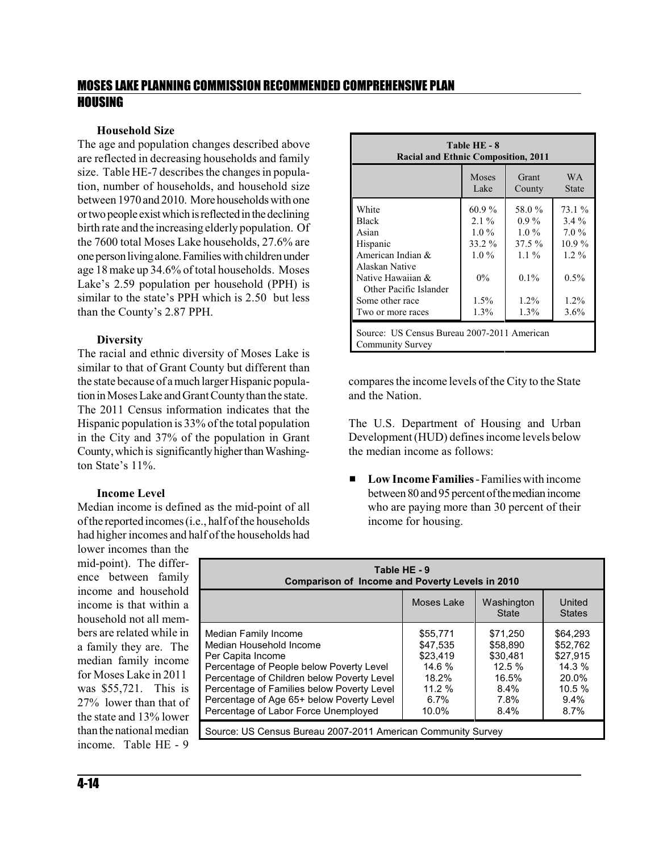#### **Household Size**

The age and population changes described above are reflected in decreasing households and family size. Table HE-7 describes the changes in population, number of households, and household size between 1970 and 2010. Morehouseholds with one ortwopeople existwhichisreflectedinthedeclining birth rate and the increasing elderly population. Of the 7600 total Moses Lake households, 27.6% are one person living alone. Families with children under age 18 make up 34.6% of total households. Moses Lake's 2.59 population per household (PPH) is similar to the state's PPH which is 2.50 but less than the County's 2.87 PPH.

#### **Diversity**

The racial and ethnic diversity of Moses Lake is similar to that of Grant County but different than the state because of a much larger Hispanic population in Moses Lake and Grant County than the state. The 2011 Census information indicates that the Hispanic population is 33% of the total population in the City and 37% of the population in Grant County, which is significantly higher than Washington State's 11%.

#### **Income Level**

Median income is defined as the mid-point of all ofthe reported incomes(i.e., half of the households had higherincomes and half of the households had

lower incomes than the mid-point). The difference between family income and household income is that within a household not all members are related while in a family they are. The median family income for Moses Lake in 2011 was \$55,721. This is 27% lower than that of the state and 13% lower than the national median income. Table HE - 9

| Table HE - 8<br><b>Racial and Ethnic Composition, 2011</b>      |               |                 |                     |  |  |  |  |
|-----------------------------------------------------------------|---------------|-----------------|---------------------|--|--|--|--|
|                                                                 | Moses<br>Lake | Grant<br>County | W A<br><b>State</b> |  |  |  |  |
| White                                                           | $60.9\%$      | 58.0%           | 73.1%               |  |  |  |  |
| <b>Black</b>                                                    | $2.1\%$       | $0.9\%$         | $3.4\%$             |  |  |  |  |
| Asian                                                           | $1.0\%$       | $1.0\%$         | $7.0\%$             |  |  |  |  |
| Hispanic                                                        | 33.2 %        | $37.5\%$        | $10.9\%$            |  |  |  |  |
| American Indian &                                               | $1.0\%$       | $1.1\%$         | $1.2\%$             |  |  |  |  |
| Alaskan Native                                                  |               |                 |                     |  |  |  |  |
| Native Hawaiian &                                               | $0\%$         | $0.1\%$         | $0.5\%$             |  |  |  |  |
| Other Pacific Islander                                          |               |                 |                     |  |  |  |  |
| Some other race                                                 | $1.5\%$       | $1.2\%$         | $1.2\%$             |  |  |  |  |
| Two or more races                                               | $1.3\%$       | $1.3\%$         | $3.6\%$             |  |  |  |  |
| Source: US Census Bureau 2007-2011 American<br>Community Survey |               |                 |                     |  |  |  |  |

compares the income levels of the City to the State and the Nation.

The U.S. Department of Housing and Urban Development(HUD) defines income levels below the median income as follows:

■ **Low Income Families** - Families with income between 80 and 95 percent of the median income who are paying more than 30 percent of their income for housing.

| Table HE - 9<br><b>Comparison of Income and Poverty Levels in 2010</b>                                                                                                                                                                                                                            |                                                                                    |                                                                            |                                                                                |  |  |  |  |  |
|---------------------------------------------------------------------------------------------------------------------------------------------------------------------------------------------------------------------------------------------------------------------------------------------------|------------------------------------------------------------------------------------|----------------------------------------------------------------------------|--------------------------------------------------------------------------------|--|--|--|--|--|
| Moses Lake<br>Washington<br>United<br><b>State</b><br><b>States</b>                                                                                                                                                                                                                               |                                                                                    |                                                                            |                                                                                |  |  |  |  |  |
| Median Family Income<br>Median Household Income<br>Per Capita Income<br>Percentage of People below Poverty Level<br>Percentage of Children below Poverty Level<br>Percentage of Families below Poverty Level<br>Percentage of Age 65+ below Poverty Level<br>Percentage of Labor Force Unemployed | \$55,771<br>\$47.535<br>\$23.419<br>14.6%<br>18.2%<br>11.2%<br>$6.7\%$<br>$10.0\%$ | \$71.250<br>\$58,890<br>\$30.481<br>12.5%<br>16.5%<br>8.4%<br>7.8%<br>8.4% | \$64.293<br>\$52,762<br>\$27.915<br>14.3%<br>20.0%<br>10.5%<br>$9.4\%$<br>8.7% |  |  |  |  |  |
| Source: US Census Bureau 2007-2011 American Community Survey                                                                                                                                                                                                                                      |                                                                                    |                                                                            |                                                                                |  |  |  |  |  |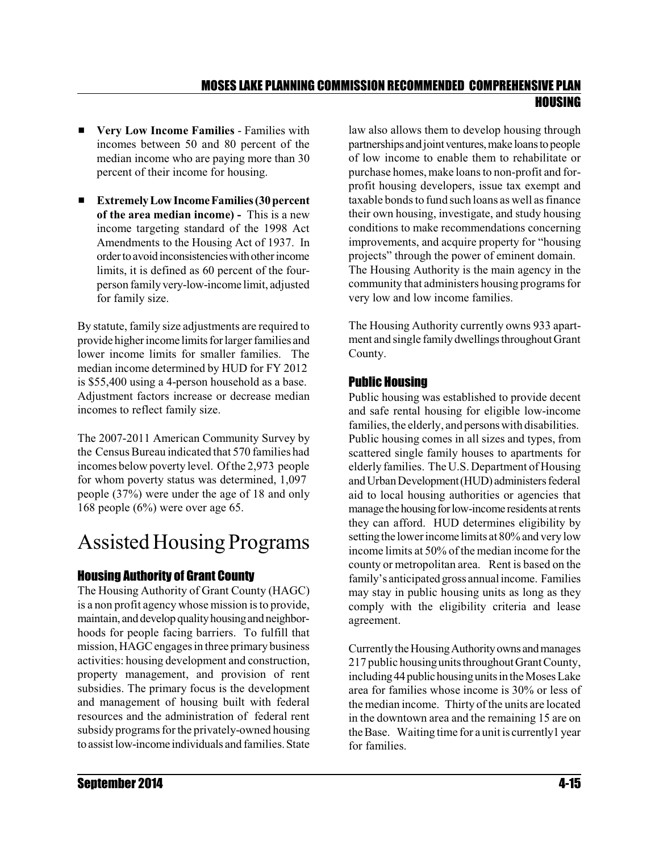- # **Very Low Income Families** Families with incomes between 50 and 80 percent of the median income who are paying more than 30 percent of their income for housing.
- **Extremely Low Income Families (30 percent of the area median income) -** This is a new income targeting standard of the 1998 Act Amendments to the Housing Act of 1937. In ordertoavoidinconsistencieswithotherincome limits, it is defined as 60 percent of the fourperson familyvery-low-income limit, adjusted for family size.

By statute, family size adjustments are required to provide higher income limits for larger families and lower income limits for smaller families. The median income determined by HUD for FY 2012 is \$55,400 using a 4-person household as a base. Adjustment factors increase or decrease median incomes to reflect family size.

The 2007-2011 American Community Survey by the Census Bureau indicated that 570 families had incomes below poverty level. Of the 2,973 people for whom poverty status was determined, 1,097 people (37%) were under the age of 18 and only 168 people (6%) were over age 65.

## Assisted Housing Programs

#### Housing Authority of Grant County

The Housing Authority of Grant County (HAGC) is a non profit agency whose mission isto provide, maintain, and develop quality housing and neighborhoods for people facing barriers. To fulfill that mission, HAGC engages in three primary business activities: housing development and construction, property management, and provision of rent subsidies. The primary focus is the development and management of housing built with federal resources and the administration of federal rent subsidy programs forthe privately-owned housing to assistlow-income individuals and families.State law also allows them to develop housing through partnerships and joint ventures, make loans to people of low income to enable them to rehabilitate or purchase homes, make loans to non-profit and forprofit housing developers, issue tax exempt and taxable bonds to fund such loans as well as finance their own housing, investigate, and study housing conditions to make recommendations concerning improvements, and acquire property for "housing projects" through the power of eminent domain. The Housing Authority is the main agency in the community that administers housing programs for very low and low income families.

The Housing Authority currently owns 933 apartment and single familydwellings throughoutGrant County.

#### Public Housing

Public housing was established to provide decent and safe rental housing for eligible low-income families, the elderly, and persons with disabilities. Public housing comes in all sizes and types, from scattered single family houses to apartments for elderly families. The U.S. Department of Housing and Urban Development (HUD) administers federal aid to local housing authorities or agencies that manage the housing for low-income residents at rents they can afford. HUD determines eligibility by setting the lower income limits at 80% and very low income limits at 50% of the median income for the county or metropolitan area. Rent is based on the family's anticipated gross annual income. Families may stay in public housing units as long as they comply with the eligibility criteria and lease agreement.

Currently the Housing Authority owns and manages 217 public housingunits throughoutGrantCounty, including 44 public housing units in the Moses Lake area for families whose income is 30% or less of the median income. Thirty of the units are located in the downtown area and the remaining 15 are on the Base. Waiting time for a unit is currently1 year for families.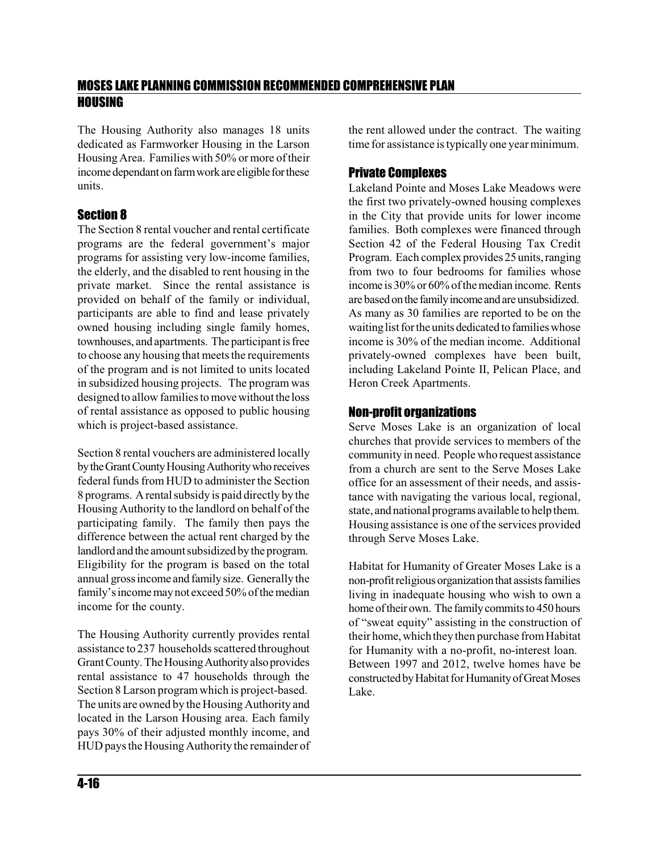The Housing Authority also manages 18 units dedicated as Farmworker Housing in the Larson Housing Area. Families with 50% or more of their income dependant on farm work are eligible for these units.

#### Section 8

The Section 8 rental voucher and rental certificate programs are the federal government's major programs for assisting very low-income families, the elderly, and the disabled to rent housing in the private market. Since the rental assistance is provided on behalf of the family or individual, participants are able to find and lease privately owned housing including single family homes, townhouses, and apartments. The participant is free to choose any housing that meets the requirements of the program and is not limited to units located in subsidized housing projects. The program was designed to allow families to move without the loss of rental assistance as opposed to public housing which is project-based assistance.

Section 8 rental vouchers are administered locally by the Grant County Housing Authority who receives federal funds from HUD to administer the Section 8 programs. Arental subsidy is paid directly by the Housing Authority to the landlord on behalf of the participating family. The family then pays the difference between the actual rent charged by the landlord and the amount subsidized by the program. Eligibility for the program is based on the total annual grossincome and familysize. Generally the family's income may not exceed 50% of the median income for the county.

The Housing Authority currently provides rental assistance to 237 households scattered throughout Grant County. The Housing Authority also provides rental assistance to 47 households through the Section 8 Larson programwhich is project-based. The units are owned by the Housing Authority and located in the Larson Housing area. Each family pays 30% of their adjusted monthly income, and HUD pays the Housing Authority the remainder of the rent allowed under the contract. The waiting time for assistance istypically one year minimum.

#### Private Complexes

Lakeland Pointe and Moses Lake Meadows were the first two privately-owned housing complexes in the City that provide units for lower income families. Both complexes were financed through Section 42 of the Federal Housing Tax Credit Program. Each complex provides 25 units,ranging from two to four bedrooms for families whose income is 30% or 60% of the median income. Rents are based on the family income and are unsubsidized. As many as 30 families are reported to be on the waiting list for the units dedicated to families whose income is 30% of the median income. Additional privately-owned complexes have been built, including Lakeland Pointe II, Pelican Place, and Heron Creek Apartments.

#### Non-profit organizations

Serve Moses Lake is an organization of local churches that provide services to members of the community in need. People who request assistance from a church are sent to the Serve Moses Lake office for an assessment of their needs, and assistance with navigating the various local, regional, state, and national programs available to help them. Housing assistance is one of the services provided through Serve Moses Lake.

Habitat for Humanity of Greater Moses Lake is a non-profit religious organization that assists families living in inadequate housing who wish to own a home of their own. The family commits to 450 hours of "sweat equity" assisting in the construction of their home, which they then purchase from Habitat for Humanity with a no-profit, no-interest loan. Between 1997 and 2012, twelve homes have be constructed by Habitat for Humanity of Great Moses Lake.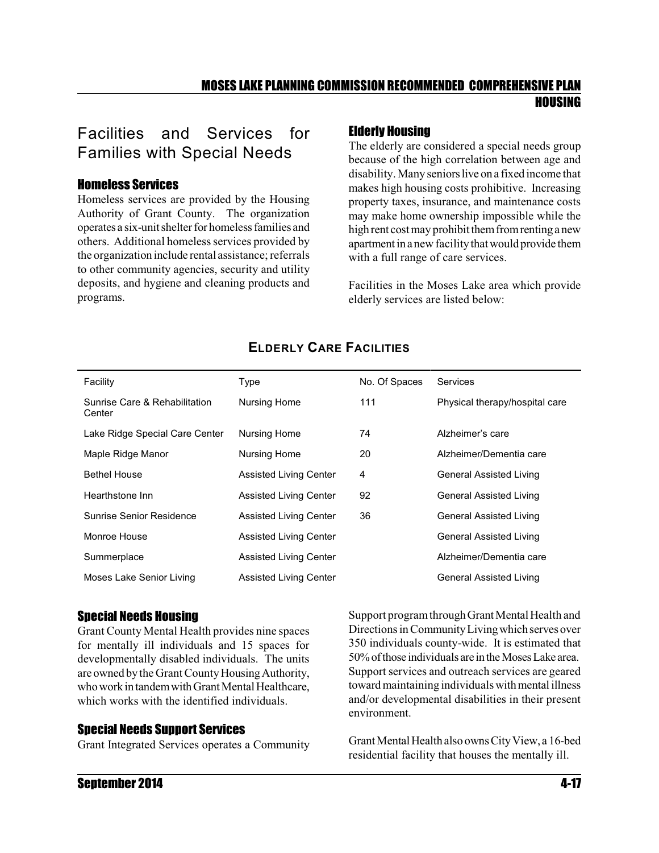## Facilities and Services for Families with Special Needs

#### Homeless Services

Homeless services are provided by the Housing Authority of Grant County. The organization operates a six-unitshelter for homeless families and others. Additional homeless services provided by the organization include rental assistance; referrals to other community agencies, security and utility deposits, and hygiene and cleaning products and programs.

#### Elderly Housing

The elderly are considered a special needs group because of the high correlation between age and disability. Many seniors live on a fixed income that makes high housing costs prohibitive. Increasing property taxes, insurance, and maintenance costs may make home ownership impossible while the high rent cost may prohibit them from renting a new apartment in a new facility that would provide them with a full range of care services.

Facilities in the Moses Lake area which provide elderly services are listed below:

| Facility                                | Type                          | No. Of Spaces | Services                       |
|-----------------------------------------|-------------------------------|---------------|--------------------------------|
| Sunrise Care & Rehabilitation<br>Center | Nursing Home                  | 111           | Physical therapy/hospital care |
| Lake Ridge Special Care Center          | Nursing Home                  | 74            | Alzheimer's care               |
| Maple Ridge Manor                       | Nursing Home                  | 20            | Alzheimer/Dementia care        |
| <b>Bethel House</b>                     | <b>Assisted Living Center</b> | 4             | General Assisted Living        |
| Hearthstone Inn                         | <b>Assisted Living Center</b> | 92            | General Assisted Living        |
| Sunrise Senior Residence                | <b>Assisted Living Center</b> | 36            | General Assisted Living        |
| Monroe House                            | <b>Assisted Living Center</b> |               | General Assisted Living        |
| Summerplace                             | <b>Assisted Living Center</b> |               | Alzheimer/Dementia care        |
| Moses Lake Senior Living                | <b>Assisted Living Center</b> |               | General Assisted Living        |

#### **ELDERLY CARE FACILITIES**

#### Special Needs Housing

Grant County Mental Health provides nine spaces for mentally ill individuals and 15 spaces for developmentally disabled individuals. The units are owned by the Grant County HousingAuthority, who work in tandem with Grant Mental Healthcare, which works with the identified individuals.

#### Special Needs Support Services

Grant Integrated Services operates a Community

Support program through Grant Mental Health and Directions in Community Living which serves over 350 individuals county-wide. It is estimated that 50%ofthose individuals are intheMosesLake area. Support services and outreach services are geared toward maintaining individuals with mental illness and/or developmental disabilities in their present environment.

Grant Mental Health also owns City View, a 16-bed residential facility that houses the mentally ill.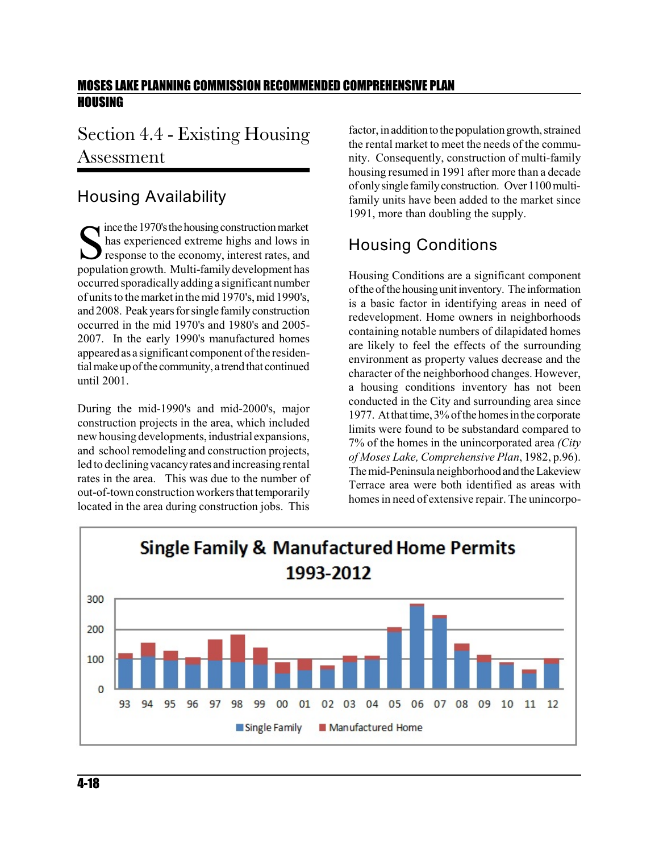## Section 4.4 - Existing Housing Assessment

## Housing Availability

Solution market<br>
Shas experienced extreme highs and lows in<br>
response to the economy, interest rates, and<br>
population growth. Multi-family development has  $\blacksquare$  ince the 1970's the housing construction market has experienced extreme highs and lows in response to the economy, interest rates, and occurred sporadically adding a significant number of units to the market in the mid 1970's, mid 1990's, and 2008. Peakyears for single familyconstruction occurred in the mid 1970's and 1980's and 2005- 2007. In the early 1990's manufactured homes appeared as a significant component of the residential make up of the community, a trend that continued until 2001.

During the mid-1990's and mid-2000's, major construction projects in the area, which included new housing developments, industrial expansions, and school remodeling and construction projects, led to decliningvacancyrates and increasing rental rates in the area. This was due to the number of out-of-town construction workers that temporarily located in the area during construction jobs. This

factor, in addition to the population growth, strained the rental market to meet the needs of the community. Consequently, construction of multi-family housing resumed in 1991 after more than a decade of onlysingle familyconstruction. Over1100multifamily units have been added to the market since 1991, more than doubling the supply.

## Housing Conditions

Housing Conditions are a significant component of the of the housing unit inventory. The information is a basic factor in identifying areas in need of redevelopment. Home owners in neighborhoods containing notable numbers of dilapidated homes are likely to feel the effects of the surrounding environment as property values decrease and the character of the neighborhood changes. However, a housing conditions inventory has not been conducted in the City and surrounding area since 1977. At that time, 3% of the homes in the corporate limits were found to be substandard compared to 7% of the homes in the unincorporated area *(City of Moses Lake, Comprehensive Plan*, 1982, p.96). The mid-Peninsula neighborhood and the Lakeview Terrace area were both identified as areas with homes in need of extensive repair. The unincorpo-

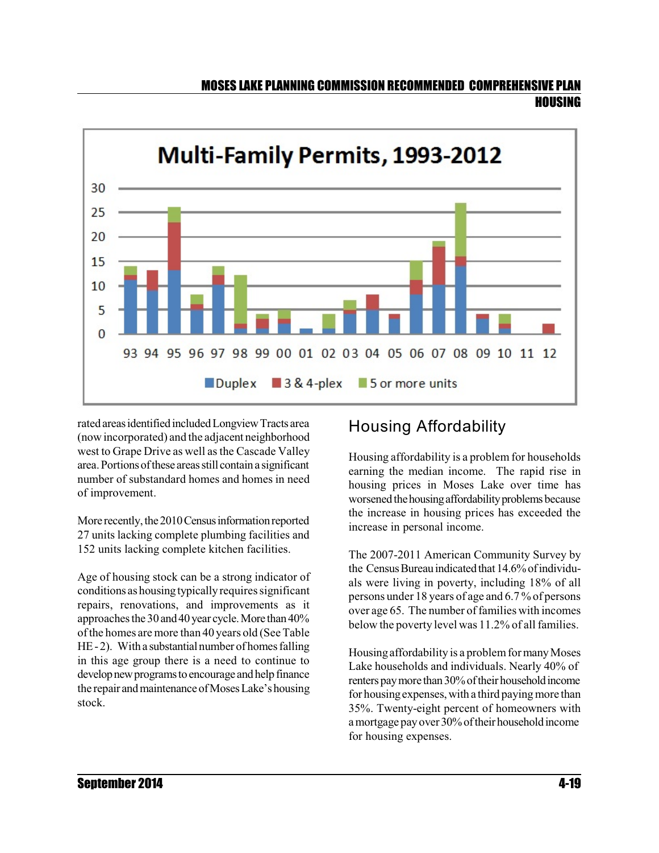

rated areasidentifiedincludedLongviewTracts area (now incorporated) and the adjacent neighborhood west to Grape Drive as well as the Cascade Valley area.Portionsofthese areasstill containa significant number of substandard homes and homes in need of improvement.

More recently, the 2010 Census information reported 27 units lacking complete plumbing facilities and 152 units lacking complete kitchen facilities.

Age of housing stock can be a strong indicator of conditions as housingtypicallyrequires significant repairs, renovations, and improvements as it approaches the 30 and 40 year cycle. More than  $40\%$ of the homes are more than 40 years old (See Table  $HE-2$ ). With a substantial number of homes falling in this age group there is a need to continue to develop new programs to encourage and help finance the repair and maintenance of Moses Lake's housing stock.

## Housing Affordability

Housing affordability is a problem for households earning the median income. The rapid rise in housing prices in Moses Lake over time has worsened the housing affordability problems because the increase in housing prices has exceeded the increase in personal income.

The 2007-2011 American Community Survey by the Census Bureau indicated that  $14.6\%$  of individuals were living in poverty, including 18% of all persons under 18 years of age and 6.7 % of persons over age 65. The number of families with incomes below the poverty level was 11.2% of all families.

Housing affordability is a problem for many Moses Lake households and individuals. Nearly 40% of renters pay more than 30% of their household income for housing expenses, with a third paying more than 35%. Twenty-eight percent of homeowners with a mortgage payover30%oftheir householdincome for housing expenses.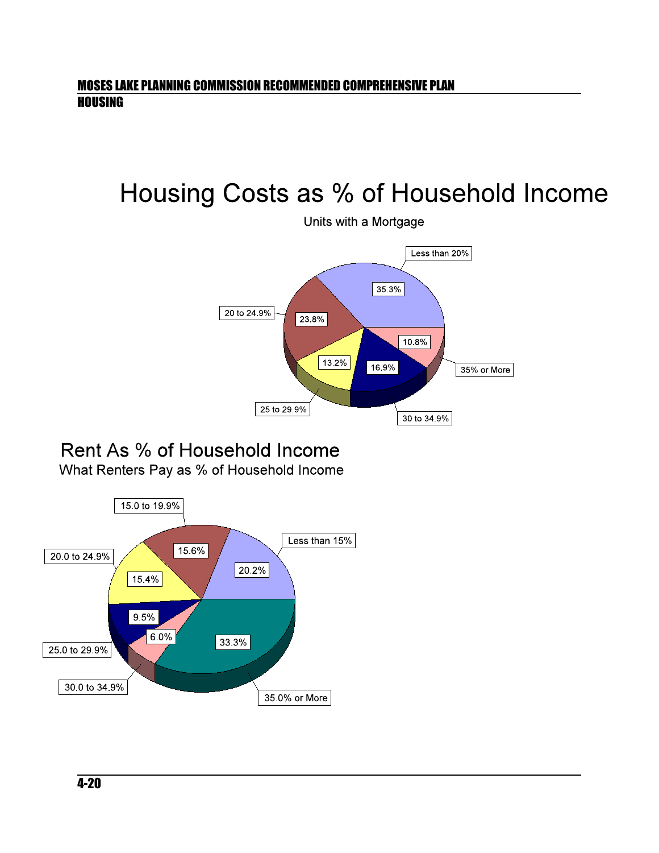# Housing Costs as % of Household Income



## Rent As % of Household Income What Renters Pay as % of Household Income

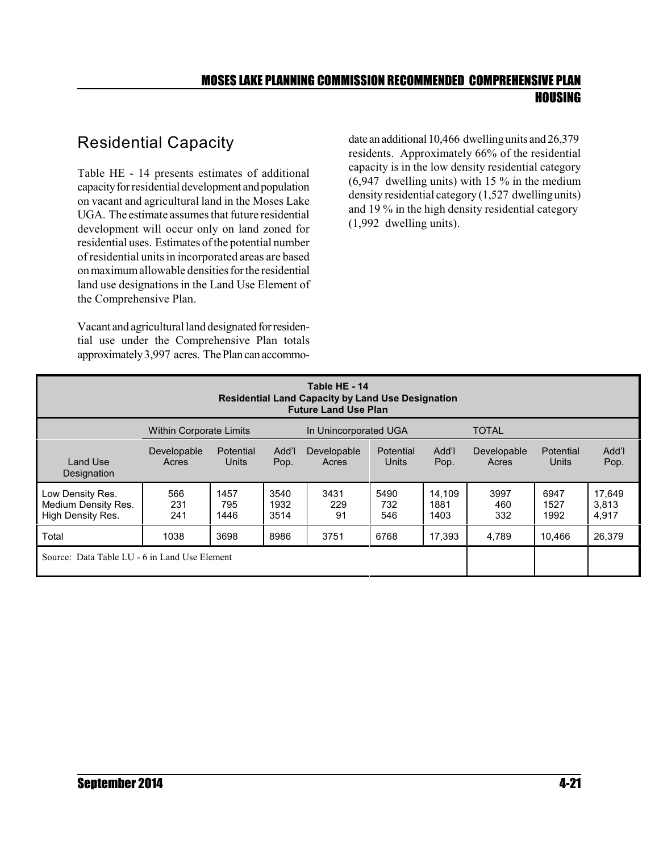## Residential Capacity

Table HE - 14 presents estimates of additional capacity for residential development and population on vacant and agricultural land in the Moses Lake UGA. The estimate assumes that future residential development will occur only on land zoned for residential uses. Estimates of the potential number of residential units in incorporated areas are based onmaximumallowable densitiesfor the residential land use designations in the Land Use Element of the Comprehensive Plan.

Vacant and agricultural land designated for residential use under the Comprehensive Plan totals approximately 3,997 acres. The Plan can accommodate an additional 10,466 dwelling units and  $26,379$ residents. Approximately 66% of the residential capacity is in the low density residential category (6,947 dwelling units) with 15 % in the medium density residential category (1,527 dwellingunits) and 19 % in the high density residential category (1,992 dwelling units).

| Table HE - 14<br><b>Residential Land Capacity by Land Use Designation</b><br><b>Future Land Use Plan</b> |                                |                     |                      |                       |                    |                        |                      |                      |                          |
|----------------------------------------------------------------------------------------------------------|--------------------------------|---------------------|----------------------|-----------------------|--------------------|------------------------|----------------------|----------------------|--------------------------|
|                                                                                                          | <b>Within Corporate Limits</b> |                     |                      | In Unincorporated UGA |                    |                        | <b>TOTAL</b>         |                      |                          |
| <b>Land Use</b><br>Designation                                                                           | Developable<br>Acres           | Potential<br>Units  | Add'l<br>Pop.        | Developable<br>Acres  | Potential<br>Units | Add'l<br>Pop.          | Developable<br>Acres | Potential<br>Units   | Add'l<br>Pop.            |
| Low Density Res.<br>Medium Density Res.<br>High Density Res.                                             | 566<br>231<br>241              | 1457<br>795<br>1446 | 3540<br>1932<br>3514 | 3431<br>229<br>.91    | 5490<br>732<br>546 | 14.109<br>1881<br>1403 | 3997<br>460<br>332   | 6947<br>1527<br>1992 | 17,649<br>3.813<br>4,917 |
| Total                                                                                                    | 1038                           | 3698                | 8986                 | 3751                  | 6768               | 17.393                 | 4.789                | 10.466               | 26.379                   |
| Source: Data Table LU - 6 in Land Use Element                                                            |                                |                     |                      |                       |                    |                        |                      |                      |                          |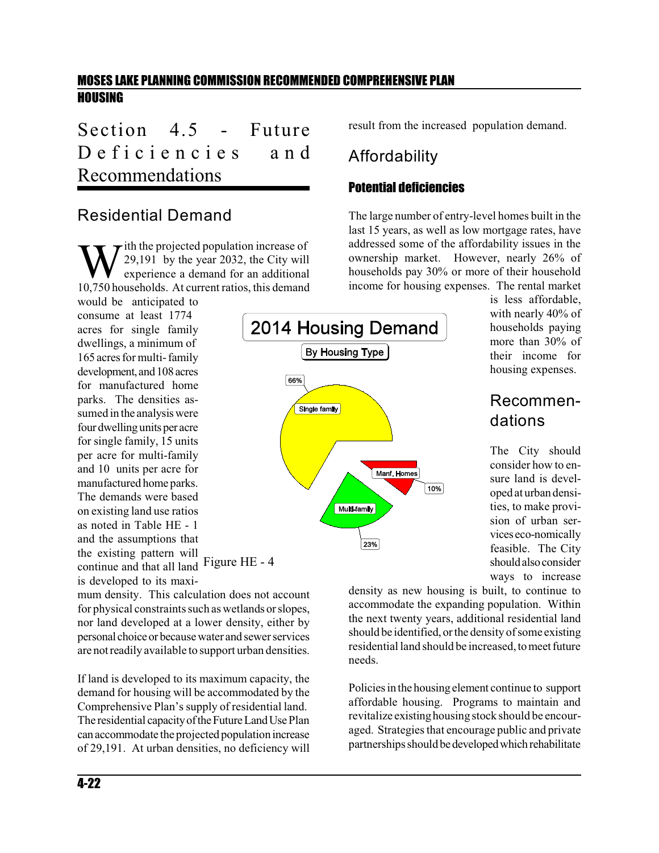Section 4.5 - Future Deficiencies and Recommendations

#### Residential Demand

W ith the projected population increase of<br>experience a demand for an additional<br>10,750 households. At current ratios, this demand  $\tau$  ith the projected population increase of 29,191 by the year 2032, the City will experience a demand for an additional

Figure HE - 4 continue and that all land would be anticipated to consume at least 1774 acres for single family dwellings, a minimum of 165 acres for multi-family development, and 108 acres for manufactured home parks. The densities assumed in the analysis were four dwelling units per acre for single family, 15 units per acre for multi-family and 10 units per acre for manufactured home parks. The demands were based on existing land use ratios as noted in Table HE - 1 and the assumptions that the existing pattern will is developed to its maxi-

mum density. This calculation does not account for physical constraints such as wetlands orslopes, nor land developed at a lower density, either by personal choiceor becausewater and sewerservices are not readily available to support urban densities.

If land is developed to its maximum capacity, the demand for housing will be accommodated by the Comprehensive Plan's supply of residential land. The residential capacity of the Future Land Use Plan canaccommodate the projected population increase of 29,191. At urban densities, no deficiency will result from the increased population demand.

## Affordability

#### Potential deficiencies

The large number of entry-level homes built in the last 15 years, as well as low mortgage rates, have addressed some of the affordability issues in the ownership market. However, nearly 26% of households pay 30% or more of their household income for housing expenses. The rental market



is less affordable, with nearly 40% of households paying more than 30% of their income for housing expenses.

## Recommendations

The City should consider how to ensure land is developed at urban densities, to make provision of urban services eco-nomically feasible. The City shouldalsoconsider ways to increase

density as new housing is built, to continue to accommodate the expanding population. Within the next twenty years, additional residential land should be identified, orthe density of some existing residential land should be increased, to meet future needs.

Policies in the housingelement continue to support affordable housing. Programs to maintain and revitalize existinghousing stock should be encouraged. Strategies that encourage public and private partnerships should be developed which rehabilitate